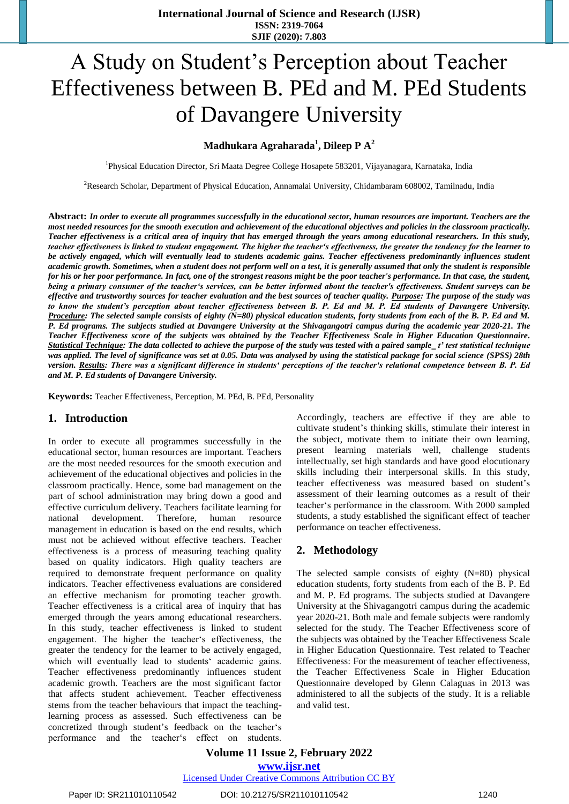# A Study on Student's Perception about Teacher Effectiveness between B. PEd and M. PEd Students of Davangere University

## **Madhukara Agraharada<sup>1</sup> , Dileep P A<sup>2</sup>**

<sup>1</sup>Physical Education Director, Sri Maata Degree College Hosapete 583201, Vijayanagara, Karnataka, India

<sup>2</sup>Research Scholar, Department of Physical Education, Annamalai University, Chidambaram 608002, Tamilnadu, India

**Abstract:** *In order to execute all programmes successfully in the educational sector, human resources are important. Teachers are the most needed resources for the smooth execution and achievement of the educational objectives and policies in the classroom practically. Teacher effectiveness is a critical area of inquiry that has emerged through the years among educational researchers. In this study, teacher effectiveness is linked to student engagement. The higher the teacher's effectiveness, the greater the tendency for the learner to be actively engaged, which will eventually lead to students academic gains. Teacher effectiveness predominantly influences student academic growth. Sometimes, when a student does not perform well on a test, it is generally assumed that only the student is responsible for his or her poor performance. In fact, one of the strongest reasons might be the poor teacher's performance. In that case, the student, being a primary consumer of the teacher's services, can be better informed about the teacher's effectiveness. Student surveys can be effective and trustworthy sources for teacher evaluation and the best sources of teacher quality. Purpose: The purpose of the study was to know the student's perception about teacher effectiveness between B. P. Ed and M. P. Ed students of Davangere University. Procedure: The selected sample consists of eighty (N=80) physical education students, forty students from each of the B. P. Ed and M. P. Ed programs. The subjects studied at Davangere University at the Shivagangotri campus during the academic year 2020-21. The Teacher Effectiveness score of the subjects was obtained by the Teacher Effectiveness Scale in Higher Education Questionnaire. Statistical Technique: The data collected to achieve the purpose of the study was tested with a paired sample\_t' test statistical technique was applied. The level of significance was set at 0.05. Data was analysed by using the statistical package for social science (SPSS) 28th version. Results: There was a significant difference in students' perceptions of the teacher's relational competence between B. P. Ed and M. P. Ed students of Davangere University.* 

**Keywords:** Teacher Effectiveness, Perception, M. PEd, B. PEd, Personality

#### **1. Introduction**

In order to execute all programmes successfully in the educational sector, human resources are important. Teachers are the most needed resources for the smooth execution and achievement of the educational objectives and policies in the classroom practically. Hence, some bad management on the part of school administration may bring down a good and effective curriculum delivery. Teachers facilitate learning for national development. Therefore, human resource management in education is based on the end results, which must not be achieved without effective teachers. Teacher effectiveness is a process of measuring teaching quality based on quality indicators. High quality teachers are required to demonstrate frequent performance on quality indicators. Teacher effectiveness evaluations are considered an effective mechanism for promoting teacher growth. Teacher effectiveness is a critical area of inquiry that has emerged through the years among educational researchers. In this study, teacher effectiveness is linked to student engagement. The higher the teacher's effectiveness, the greater the tendency for the learner to be actively engaged, which will eventually lead to students' academic gains. Teacher effectiveness predominantly influences student academic growth. Teachers are the most significant factor that affects student achievement. Teacher effectiveness stems from the teacher behaviours that impact the teachinglearning process as assessed. Such effectiveness can be concretized through student's feedback on the teacher's performance and the teacher's effect on students. Accordingly, teachers are effective if they are able to cultivate student's thinking skills, stimulate their interest in the subject, motivate them to initiate their own learning, present learning materials well, challenge students intellectually, set high standards and have good elocutionary skills including their interpersonal skills. In this study, teacher effectiveness was measured based on student's assessment of their learning outcomes as a result of their teacher's performance in the classroom. With 2000 sampled students, a study established the significant effect of teacher performance on teacher effectiveness.

#### **2. Methodology**

The selected sample consists of eighty (N=80) physical education students, forty students from each of the B. P. Ed and M. P. Ed programs. The subjects studied at Davangere University at the Shivagangotri campus during the academic year 2020-21. Both male and female subjects were randomly selected for the study. The Teacher Effectiveness score of the subjects was obtained by the Teacher Effectiveness Scale in Higher Education Questionnaire. Test related to Teacher Effectiveness: For the measurement of teacher effectiveness, the Teacher Effectiveness Scale in Higher Education Questionnaire developed by Glenn Calaguas in 2013 was administered to all the subjects of the study. It is a reliable and valid test.

**Volume 11 Issue 2, February 2022**

**www.ijsr.net**

Licensed Under Creative Commons Attribution CC BY